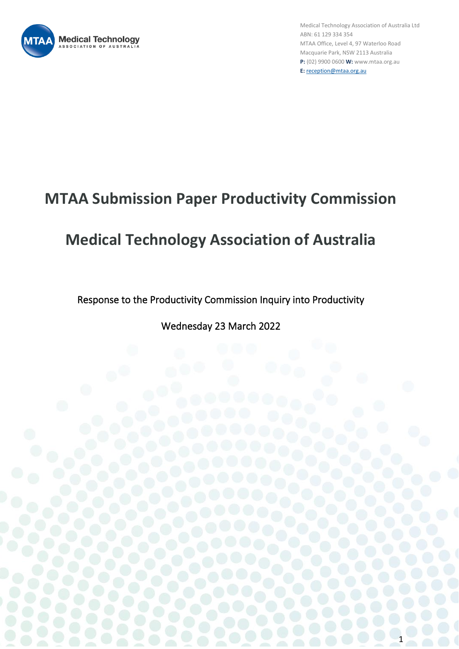

1

## **MTAA Submission Paper Productivity Commission**

# **Medical Technology Association of Australia**

Response to the Productivity Commission Inquiry into Productivity

Wednesday 23 March 2022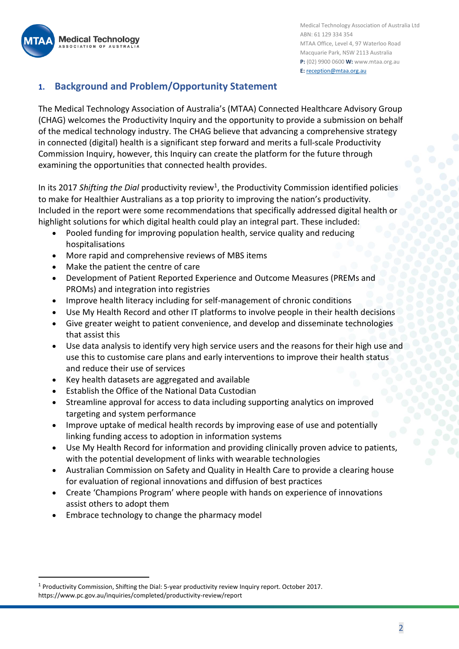**Medical Technology** SSOCIATION OF AUSTRAL

Medical Technology Association of Australia Ltd ABN: 61 129 334 354 MTAA Office, Level 4, 97 Waterloo Road Macquarie Park, NSW 2113 Australia **P:** (02) 9900 0600 **W:** www.mtaa.org.au **E:** [reception@mtaa.org.au](mailto:reception@mtaa.org.au)

## **1. Background and Problem/Opportunity Statement**

The Medical Technology Association of Australia's (MTAA) Connected Healthcare Advisory Group (CHAG) welcomes the Productivity Inquiry and the opportunity to provide a submission on behalf of the medical technology industry. The CHAG believe that advancing a comprehensive strategy in connected (digital) health is a significant step forward and merits a full-scale Productivity Commission Inquiry, however, this Inquiry can create the platform for the future through examining the opportunities that connected health provides.

In its 2017 Shifting the Dial productivity review<sup>1</sup>, the Productivity Commission identified policies to make for Healthier Australians as a top priority to improving the nation's productivity. Included in the report were some recommendations that specifically addressed digital health or highlight solutions for which digital health could play an integral part. These included:

- Pooled funding for improving population health, service quality and reducing hospitalisations
- More rapid and comprehensive reviews of MBS items
- Make the patient the centre of care
- Development of Patient Reported Experience and Outcome Measures (PREMs and PROMs) and integration into registries
- Improve health literacy including for self-management of chronic conditions
- Use My Health Record and other IT platforms to involve people in their health decisions
- Give greater weight to patient convenience, and develop and disseminate technologies that assist this
- Use data analysis to identify very high service users and the reasons for their high use and use this to customise care plans and early interventions to improve their health status and reduce their use of services
- Key health datasets are aggregated and available
- Establish the Office of the National Data Custodian
- Streamline approval for access to data including supporting analytics on improved targeting and system performance
- Improve uptake of medical health records by improving ease of use and potentially linking funding access to adoption in information systems
- Use My Health Record for information and providing clinically proven advice to patients, with the potential development of links with wearable technologies
- Australian Commission on Safety and Quality in Health Care to provide a clearing house for evaluation of regional innovations and diffusion of best practices
- Create 'Champions Program' where people with hands on experience of innovations assist others to adopt them
- Embrace technology to change the pharmacy model

 $1$  Productivity Commission, Shifting the Dial: 5-year productivity review Inquiry report. October 2017. https://www.pc.gov.au/inquiries/completed/productivity-review/report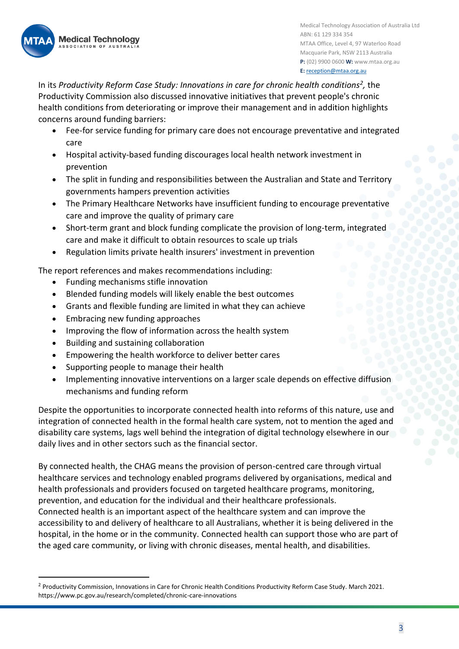

In its *Productivity Reform Case Study: Innovations in care for chronic health conditions<sup>2</sup> ,* the Productivity Commission also discussed innovative initiatives that prevent people's chronic health conditions from deteriorating or improve their management and in addition highlights concerns around funding barriers:

- Fee-for service funding for primary care does not encourage preventative and integrated care
- Hospital activity-based funding discourages local health network investment in prevention
- The split in funding and responsibilities between the Australian and State and Territory governments hampers prevention activities
- The Primary Healthcare Networks have insufficient funding to encourage preventative care and improve the quality of primary care
- Short-term grant and block funding complicate the provision of long-term, integrated care and make it difficult to obtain resources to scale up trials
- Regulation limits private health insurers' investment in prevention

The report references and makes recommendations including:

- Funding mechanisms stifle innovation
- Blended funding models will likely enable the best outcomes
- Grants and flexible funding are limited in what they can achieve
- Embracing new funding approaches
- Improving the flow of information across the health system
- Building and sustaining collaboration
- Empowering the health workforce to deliver better cares
- Supporting people to manage their health
- Implementing innovative interventions on a larger scale depends on effective diffusion mechanisms and funding reform

Despite the opportunities to incorporate connected health into reforms of this nature, use and integration of connected health in the formal health care system, not to mention the aged and disability care systems, lags well behind the integration of digital technology elsewhere in our daily lives and in other sectors such as the financial sector.

By connected health, the CHAG means the provision of person-centred care through virtual healthcare services and technology enabled programs delivered by organisations, medical and health professionals and providers focused on targeted healthcare programs, monitoring, prevention, and education for the individual and their healthcare professionals. Connected health is an important aspect of the healthcare system and can improve the accessibility to and delivery of healthcare to all Australians, whether it is being delivered in the hospital, in the home or in the community. Connected health can support those who are part of the aged care community, or living with chronic diseases, mental health, and disabilities.

<sup>&</sup>lt;sup>2</sup> Productivity Commission, Innovations in Care for Chronic Health Conditions Productivity Reform Case Study. March 2021. https://www.pc.gov.au/research/completed/chronic-care-innovations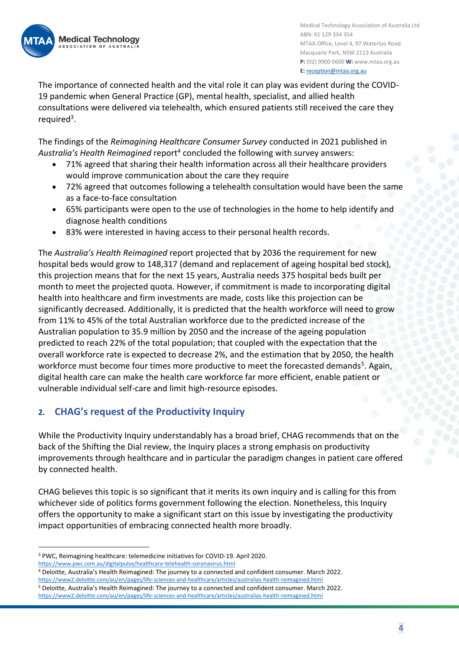

The importance of connected health and the vital role it can play was evident during the COVID-19 pandemic when General Practice (GP), mental health, specialist, and allied health consultations were delivered via telehealth, which ensured patients still received the care they required<sup>3</sup>.

The findings of the *Reimagining Healthcare Consumer Survey* conducted in 2021 published in Australia's Health Reimagined report<sup>4</sup> concluded the following with survey answers:

- 71% agreed that sharing their health information across all their healthcare providers would improve communication about the care they require
- 72% agreed that outcomes following a telehealth consultation would have been the same as a face-to-face consultation
- 65% participants were open to the use of technologies in the home to help identify and diagnose health conditions
- 83% were interested in having access to their personal health records.

The *Australia's Health Reimagined* report projected that by 2036 the requirement for new hospital beds would grow to 148,317 (demand and replacement of ageing hospital bed stock), this projection means that for the next 15 years, Australia needs 375 hospital beds built per month to meet the projected quota. However, if commitment is made to incorporating digital health into healthcare and firm investments are made, costs like this projection can be significantly decreased. Additionally, it is predicted that the health workforce will need to grow from 11% to 45% of the total Australian workforce due to the predicted increase of the Australian population to 35.9 million by 2050 and the increase of the ageing population predicted to reach 22% of the total population; that coupled with the expectation that the overall workforce rate is expected to decrease 2%, and the estimation that by 2050, the health workforce must become four times more productive to meet the forecasted demands<sup>5</sup>. Again, digital health care can make the health care workforce far more efficient, enable patient or vulnerable individual self-care and limit high-resource episodes.

### **2. CHAG's request of the Productivity Inquiry**

While the Productivity Inquiry understandably has a broad brief, CHAG recommends that on the back of the Shifting the Dial review, the Inquiry places a strong emphasis on productivity improvements through healthcare and in particular the paradigm changes in patient care offered by connected health.

CHAG believes this topic is so significant that it merits its own inquiry and is calling for this from whichever side of politics forms government following the election. Nonetheless, this Inquiry offers the opportunity to make a significant start on this issue by investigating the productivity impact opportunities of embracing connected health more broadly.

<https://www.pwc.com.au/digitalpulse/healthcare-telehealth-coronavirus.html>

<sup>3</sup> PWC, Reimagining healthcare: telemedicine initiatives for COVID-19. April 2020.

<sup>4</sup> Deloitte, Australia's Health Reimagined: The journey to a connected and confident consumer. March 2022. <https://www2.deloitte.com/au/en/pages/life-sciences-and-healthcare/articles/australias-health-reimagined.html>

<sup>5</sup> Deloitte, Australia's Health Reimagined: The journey to a connected and confident consumer. March 2022. <https://www2.deloitte.com/au/en/pages/life-sciences-and-healthcare/articles/australias-health-reimagined.html>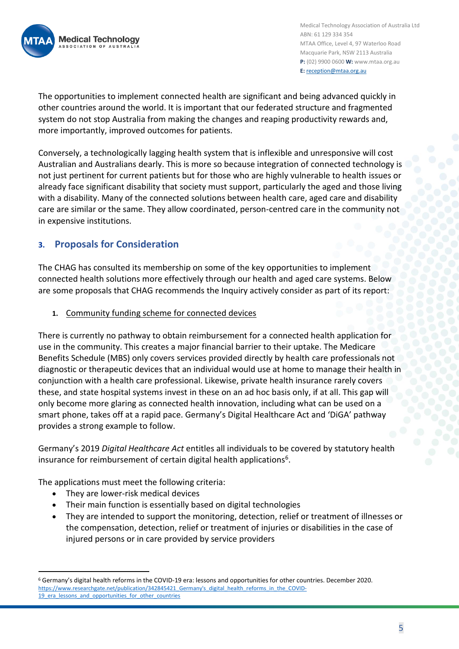

The opportunities to implement connected health are significant and being advanced quickly in other countries around the world. It is important that our federated structure and fragmented system do not stop Australia from making the changes and reaping productivity rewards and, more importantly, improved outcomes for patients.

Conversely, a technologically lagging health system that is inflexible and unresponsive will cost Australian and Australians dearly. This is more so because integration of connected technology is not just pertinent for current patients but for those who are highly vulnerable to health issues or already face significant disability that society must support, particularly the aged and those living with a disability. Many of the connected solutions between health care, aged care and disability care are similar or the same. They allow coordinated, person-centred care in the community not in expensive institutions.

## **3. Proposals for Consideration**

The CHAG has consulted its membership on some of the key opportunities to implement connected health solutions more effectively through our health and aged care systems. Below are some proposals that CHAG recommends the Inquiry actively consider as part of its report:

**1.** Community funding scheme for connected devices

There is currently no pathway to obtain reimbursement for a connected health application for use in the community. This creates a major financial barrier to their uptake. The Medicare Benefits Schedule (MBS) only covers services provided directly by health care professionals not diagnostic or therapeutic devices that an individual would use at home to manage their health in conjunction with a health care professional. Likewise, private health insurance rarely covers these, and state hospital systems invest in these on an ad hoc basis only, if at all. This gap will only become more glaring as connected health innovation, including what can be used on a smart phone, takes off at a rapid pace. Germany's Digital Healthcare Act and 'DiGA' pathway provides a strong example to follow.

Germany's 2019 *Digital Healthcare Act* entitles all individuals to be covered by statutory health insurance for reimbursement of certain digital health applications<sup>6</sup>.

The applications must meet the following criteria:

- They are lower-risk medical devices
- Their main function is essentially based on digital technologies
- They are intended to support the monitoring, detection, relief or treatment of illnesses or the compensation, detection, relief or treatment of injuries or disabilities in the case of injured persons or in care provided by service providers

<sup>6</sup> Germany's digital health reforms in the COVID-19 era: lessons and opportunities for other countries. December 2020. [https://www.researchgate.net/publication/342845421\\_Germany's\\_digital\\_health\\_reforms\\_in\\_the\\_COVID-](https://www.researchgate.net/publication/342845421_Germany)19 era lessons and opportunities for other countries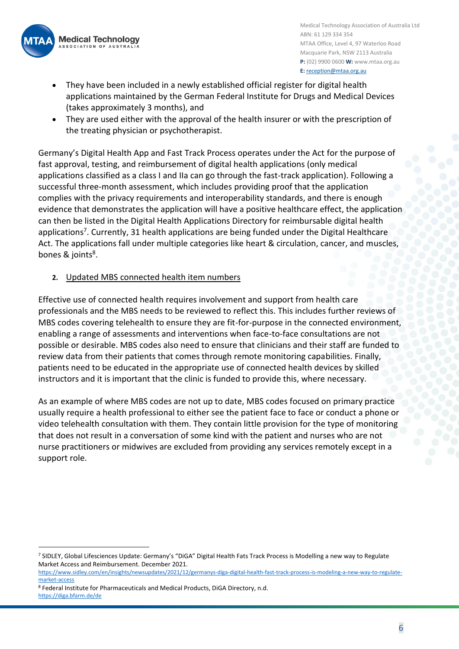

- They have been included in a newly established official register for digital health applications maintained by the German Federal Institute for Drugs and Medical Devices (takes approximately 3 months), and
- They are used either with the approval of the health insurer or with the prescription of the treating physician or psychotherapist.

Germany's Digital Health App and Fast Track Process operates under the Act for the purpose of fast approval, testing, and reimbursement of digital health applications (only medical applications classified as a class I and IIa can go through the fast-track application). Following a successful three-month assessment, which includes providing proof that the application complies with the privacy requirements and interoperability standards, and there is enough evidence that demonstrates the application will have a positive healthcare effect, the application can then be listed in the Digital Health Applications Directory for reimbursable digital health applications<sup>7</sup>. Currently, 31 health applications are being funded under the Digital Healthcare Act. The applications fall under multiple categories like heart & circulation, cancer, and muscles, bones & joints<sup>8</sup>.

#### **2.** Updated MBS connected health item numbers

Effective use of connected health requires involvement and support from health care professionals and the MBS needs to be reviewed to reflect this. This includes further reviews of MBS codes covering telehealth to ensure they are fit-for-purpose in the connected environment, enabling a range of assessments and interventions when face-to-face consultations are not possible or desirable. MBS codes also need to ensure that clinicians and their staff are funded to review data from their patients that comes through remote monitoring capabilities. Finally, patients need to be educated in the appropriate use of connected health devices by skilled instructors and it is important that the clinic is funded to provide this, where necessary.

As an example of where MBS codes are not up to date, MBS codes focused on primary practice usually require a health professional to either see the patient face to face or conduct a phone or video telehealth consultation with them. They contain little provision for the type of monitoring that does not result in a conversation of some kind with the patient and nurses who are not nurse practitioners or midwives are excluded from providing any services remotely except in a support role.

<sup>7</sup> SIDLEY, Global Lifesciences Update: Germany's "DiGA" Digital Health Fats Track Process is Modelling a new way to Regulate Market Access and Reimbursement. December 2021.

[https://www.sidley.com/en/insights/newsupdates/2021/12/germanys-diga-digital-health-fast-track-process-is-modeling-a-new-way-to-regulate](https://www.sidley.com/en/insights/newsupdates/2021/12/germanys-diga-digital-health-fast-track-process-is-modeling-a-new-way-to-regulate-market-access)[market-access](https://www.sidley.com/en/insights/newsupdates/2021/12/germanys-diga-digital-health-fast-track-process-is-modeling-a-new-way-to-regulate-market-access)

<sup>8</sup> Federal Institute for Pharmaceuticals and Medical Products, DiGA Directory, n.d. <https://diga.bfarm.de/de>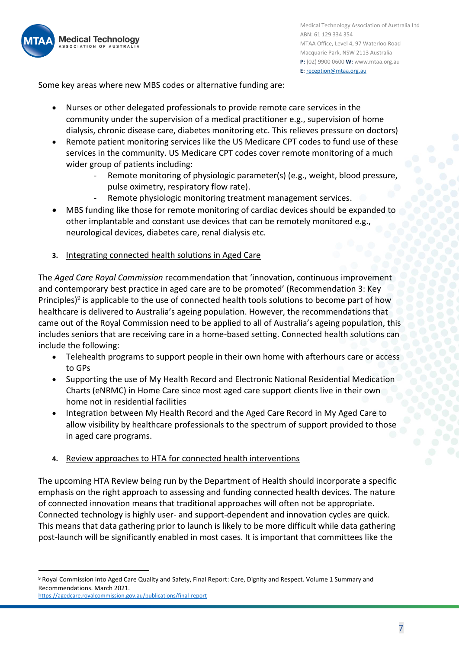

Some key areas where new MBS codes or alternative funding are:

- Nurses or other delegated professionals to provide remote care services in the community under the supervision of a medical practitioner e.g., supervision of home dialysis, chronic disease care, diabetes monitoring etc. This relieves pressure on doctors)
- Remote patient monitoring services like the US Medicare CPT codes to fund use of these services in the community. US Medicare CPT codes cover remote monitoring of a much wider group of patients including:
	- Remote monitoring of physiologic parameter(s) (e.g., weight, blood pressure, pulse oximetry, respiratory flow rate).
	- Remote physiologic monitoring treatment management services.
- MBS funding like those for remote monitoring of cardiac devices should be expanded to other implantable and constant use devices that can be remotely monitored e.g., neurological devices, diabetes care, renal dialysis etc.
- **3.** Integrating connected health solutions in Aged Care

The *Aged Care Royal Commission* recommendation that 'innovation, continuous improvement and contemporary best practice in aged care are to be promoted' (Recommendation 3: Key Principles)<sup>9</sup> is applicable to the use of connected health tools solutions to become part of how healthcare is delivered to Australia's ageing population. However, the recommendations that came out of the Royal Commission need to be applied to all of Australia's ageing population, this includes seniors that are receiving care in a home-based setting. Connected health solutions can include the following:

- Telehealth programs to support people in their own home with afterhours care or access to GPs
- Supporting the use of My Health Record and Electronic National Residential Medication Charts (eNRMC) in Home Care since most aged care support clients live in their own home not in residential facilities
- Integration between My Health Record and the Aged Care Record in My Aged Care to allow visibility by healthcare professionals to the spectrum of support provided to those in aged care programs.
- **4.** Review approaches to HTA for connected health interventions

The upcoming HTA Review being run by the Department of Health should incorporate a specific emphasis on the right approach to assessing and funding connected health devices. The nature of connected innovation means that traditional approaches will often not be appropriate. Connected technology is highly user- and support-dependent and innovation cycles are quick. This means that data gathering prior to launch is likely to be more difficult while data gathering post-launch will be significantly enabled in most cases. It is important that committees like the

<sup>9</sup> Royal Commission into Aged Care Quality and Safety, Final Report: Care, Dignity and Respect. Volume 1 Summary and Recommendations. March 2021.

<https://agedcare.royalcommission.gov.au/publications/final-report>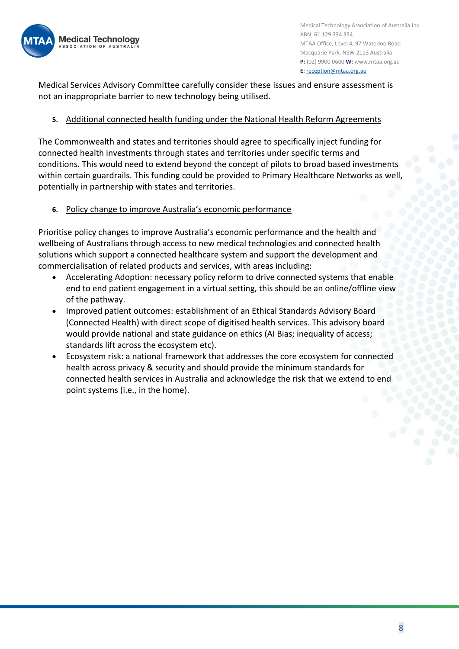

Medical Services Advisory Committee carefully consider these issues and ensure assessment is not an inappropriate barrier to new technology being utilised.

#### **5.** Additional connected health funding under the National Health Reform Agreements

The Commonwealth and states and territories should agree to specifically inject funding for connected health investments through states and territories under specific terms and conditions. This would need to extend beyond the concept of pilots to broad based investments within certain guardrails. This funding could be provided to Primary Healthcare Networks as well, potentially in partnership with states and territories.

#### **6.** Policy change to improve Australia's economic performance

Prioritise policy changes to improve Australia's economic performance and the health and wellbeing of Australians through access to new medical technologies and connected health solutions which support a connected healthcare system and support the development and commercialisation of related products and services, with areas including:

- Accelerating Adoption: necessary policy reform to drive connected systems that enable end to end patient engagement in a virtual setting, this should be an online/offline view of the pathway.
- Improved patient outcomes: establishment of an Ethical Standards Advisory Board (Connected Health) with direct scope of digitised health services. This advisory board would provide national and state guidance on ethics (AI Bias; inequality of access; standards lift across the ecosystem etc).
- Ecosystem risk: a national framework that addresses the core ecosystem for connected health across privacy & security and should provide the minimum standards for connected health services in Australia and acknowledge the risk that we extend to end point systems (i.e., in the home).